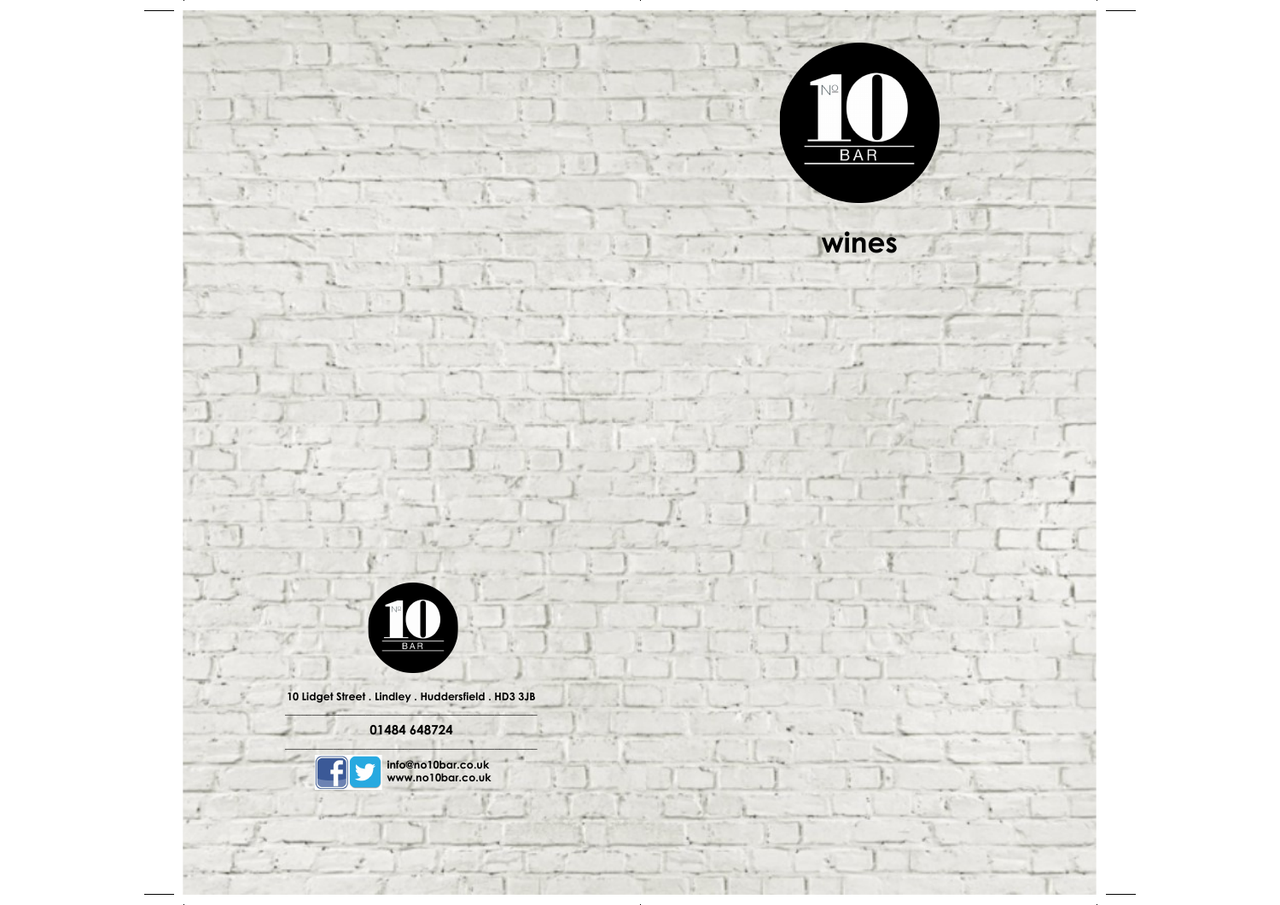